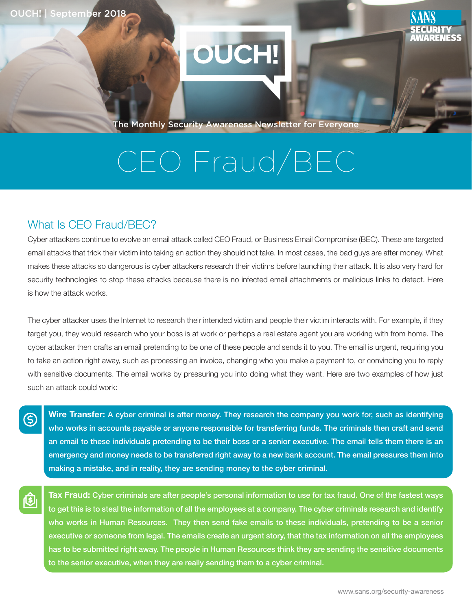

The Monthly Security Awareness Newsletter for Everyone

# CEO Fraud/BEC

## What Is CEO Fraud/BEC?

(\$)

Cyber attackers continue to evolve an email attack called CEO Fraud, or Business Email Compromise (BEC). These are targeted email attacks that trick their victim into taking an action they should not take. In most cases, the bad guys are after money. What makes these attacks so dangerous is cyber attackers research their victims before launching their attack. It is also very hard for security technologies to stop these attacks because there is no infected email attachments or malicious links to detect. Here is how the attack works.

The cyber attacker uses the Internet to research their intended victim and people their victim interacts with. For example, if they target you, they would research who your boss is at work or perhaps a real estate agent you are working with from home. The cyber attacker then crafts an email pretending to be one of these people and sends it to you. The email is urgent, requiring you to take an action right away, such as processing an invoice, changing who you make a payment to, or convincing you to reply with sensitive documents. The email works by pressuring you into doing what they want. Here are two examples of how just such an attack could work:

Wire Transfer: A cyber criminal is after money. They research the company you work for, such as identifying who works in accounts payable or anyone responsible for transferring funds. The criminals then craft and send an email to these individuals pretending to be their boss or a senior executive. The email tells them there is an emergency and money needs to be transferred right away to a new bank account. The email pressures them into making a mistake, and in reality, they are sending money to the cyber criminal.

Tax Fraud: Cyber criminals are after people's personal information to use for tax fraud. One of the fastest ways to get this is to steal the information of all the employees at a company. The cyber criminals research and identify who works in Human Resources. They then send fake emails to these individuals, pretending to be a senior executive or someone from legal. The emails create an urgent story, that the tax information on all the employees has to be submitted right away. The people in Human Resources think they are sending the sensitive documents to the senior executive, when they are really sending them to a cyber criminal.